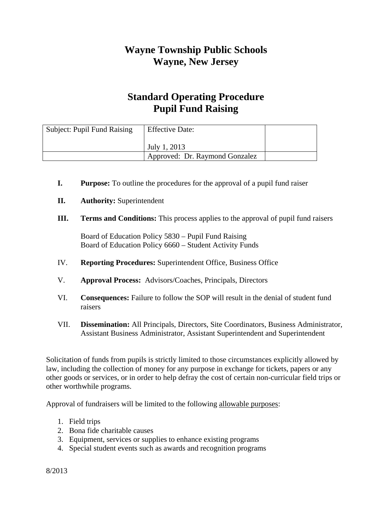## **Wayne Township Public Schools Wayne, New Jersey**

## **Standard Operating Procedure Pupil Fund Raising**

| Subject: Pupil Fund Raising | <b>Effective Date:</b>         |  |
|-----------------------------|--------------------------------|--|
|                             | July 1, 2013                   |  |
|                             | Approved: Dr. Raymond Gonzalez |  |

- **I. Purpose:** To outline the procedures for the approval of a pupil fund raiser
- **II. Authority:** Superintendent
- **III. Terms and Conditions:** This process applies to the approval of pupil fund raisers

Board of Education Policy 5830 – Pupil Fund Raising Board of Education Policy 6660 – Student Activity Funds

- IV. **Reporting Procedures:** Superintendent Office, Business Office
- V. **Approval Process:** Advisors/Coaches, Principals, Directors
- VI. **Consequences:** Failure to follow the SOP will result in the denial of student fund raisers
- VII. **Dissemination:** All Principals, Directors, Site Coordinators, Business Administrator, Assistant Business Administrator, Assistant Superintendent and Superintendent

Solicitation of funds from pupils is strictly limited to those circumstances explicitly allowed by law, including the collection of money for any purpose in exchange for tickets, papers or any other goods or services, or in order to help defray the cost of certain non-curricular field trips or other worthwhile programs.

Approval of fundraisers will be limited to the following allowable purposes:

- 1. Field trips
- 2. Bona fide charitable causes
- 3. Equipment, services or supplies to enhance existing programs
- 4. Special student events such as awards and recognition programs